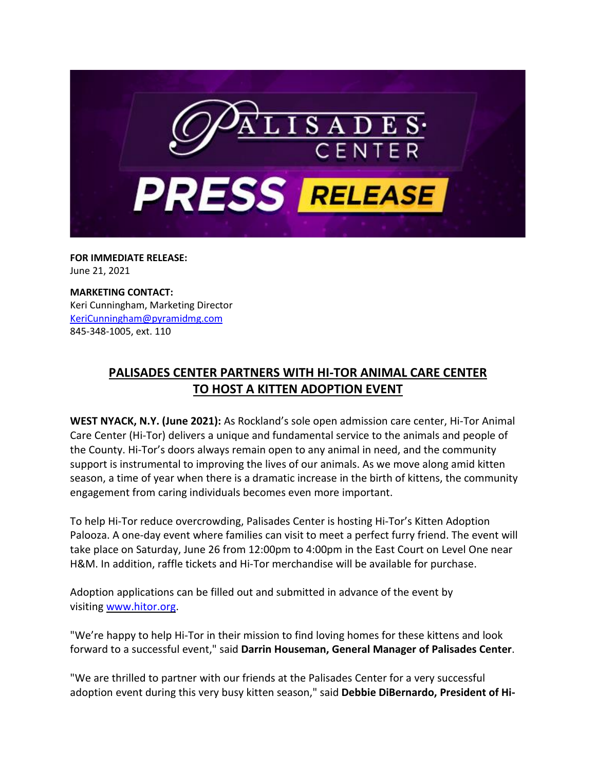

**FOR IMMEDIATE RELEASE:** June 21, 2021

**MARKETING CONTACT:** Keri Cunningham, Marketing Director [KeriCunningham@pyramidmg.com](mailto:KeriCunningham@pyramidmg.com) 845-348-1005, ext. 110

## **PALISADES CENTER PARTNERS WITH HI-TOR ANIMAL CARE CENTER TO HOST A KITTEN ADOPTION EVENT**

**WEST NYACK, N.Y. (June 2021):** As Rockland's sole open admission care center, Hi-Tor Animal Care Center (Hi-Tor) delivers a unique and fundamental service to the animals and people of the County. Hi-Tor's doors always remain open to any animal in need, and the community support is instrumental to improving the lives of our animals. As we move along amid kitten season, a time of year when there is a dramatic increase in the birth of kittens, the community engagement from caring individuals becomes even more important.

To help Hi-Tor reduce overcrowding, Palisades Center is hosting Hi-Tor's Kitten Adoption Palooza. A one-day event where families can visit to meet a perfect furry friend. The event will take place on Saturday, June 26 from 12:00pm to 4:00pm in the East Court on Level One near H&M. In addition, raffle tickets and Hi-Tor merchandise will be available for purchase.

Adoption applications can be filled out and submitted in advance of the event by visiting [www.hitor.org.](https://palisadescenter.mailer.kishmish.com/Prod/link-tracker?redirectUrl=aHR0cCUzQSUyRiUyRnd3dy5oaXRvci5vcmc=&a=999686848&account=palisadescenter%2Eactivehosted%2Ecom&email=4%2Bzb1Fq79BW2IDcgm2DzFfi2K%2BTMTIYfxmoRKtA7aiE%3D&s=bd75dd3a695126abd7a98951652778c6&i=929A968A8A27411)

"We're happy to help Hi-Tor in their mission to find loving homes for these kittens and look forward to a successful event," said **Darrin Houseman, General Manager of Palisades Center**.

"We are thrilled to partner with our friends at the Palisades Center for a very successful adoption event during this very busy kitten season," said **Debbie DiBernardo, President of Hi-**